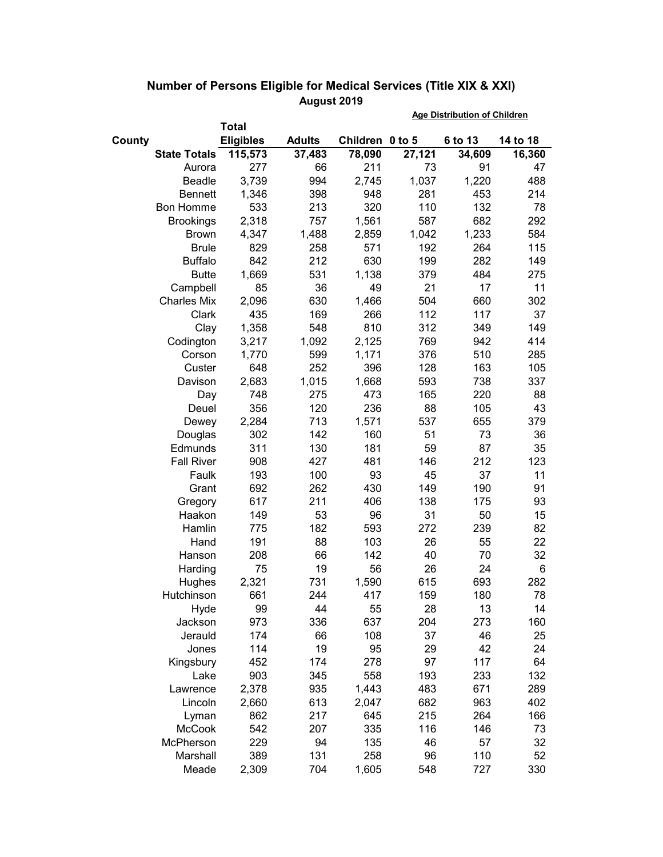|                     |                  |               | <b>Age Distribution of Children</b> |        |         |          |
|---------------------|------------------|---------------|-------------------------------------|--------|---------|----------|
|                     | <b>Total</b>     |               |                                     |        |         |          |
| County              | <b>Eligibles</b> | <b>Adults</b> | Children 0 to 5                     |        | 6 to 13 | 14 to 18 |
| <b>State Totals</b> | 115,573          | 37,483        | 78,090                              | 27,121 | 34,609  | 16,360   |
| Aurora              | 277              | 66            | 211                                 | 73     | 91      | 47       |
| Beadle              | 3,739            | 994           | 2,745                               | 1,037  | 1,220   | 488      |
| <b>Bennett</b>      | 1,346            | 398           | 948                                 | 281    | 453     | 214      |
| <b>Bon Homme</b>    | 533              | 213           | 320                                 | 110    | 132     | 78       |
| <b>Brookings</b>    | 2,318            | 757           | 1,561                               | 587    | 682     | 292      |
| <b>Brown</b>        | 4,347            | 1,488         | 2,859                               | 1,042  | 1,233   | 584      |
| <b>Brule</b>        | 829              | 258           | 571                                 | 192    | 264     | 115      |
| <b>Buffalo</b>      | 842              | 212           | 630                                 | 199    | 282     | 149      |
| <b>Butte</b>        | 1,669            | 531           | 1,138                               | 379    | 484     | 275      |
| Campbell            | 85               | 36            | 49                                  | 21     | 17      | 11       |
| <b>Charles Mix</b>  | 2,096            | 630           | 1,466                               | 504    | 660     | 302      |
| Clark               | 435              | 169           | 266                                 | 112    | 117     | 37       |
| Clay                | 1,358            | 548           | 810                                 | 312    | 349     | 149      |
| Codington           | 3,217            | 1,092         | 2,125                               | 769    | 942     | 414      |
| Corson              | 1,770            | 599           | 1,171                               | 376    | 510     | 285      |
| Custer              | 648              | 252           | 396                                 | 128    | 163     | 105      |
| Davison             | 2,683            | 1,015         | 1,668                               | 593    | 738     | 337      |
| Day                 | 748              | 275           | 473                                 | 165    | 220     | 88       |
| Deuel               | 356              | 120           | 236                                 | 88     | 105     | 43       |
| Dewey               | 2,284            | 713           | 1,571                               | 537    | 655     | 379      |
| Douglas             | 302              | 142           | 160                                 | 51     | 73      | 36       |
| Edmunds             | 311              | 130           | 181                                 | 59     | 87      | 35       |
| <b>Fall River</b>   | 908              | 427           | 481                                 | 146    | 212     | 123      |
| Faulk               | 193              | 100           | 93                                  | 45     | 37      | 11       |
| Grant               | 692              | 262           | 430                                 | 149    | 190     | 91       |
| Gregory             | 617              | 211           | 406                                 | 138    | 175     | 93       |
| Haakon              | 149              | 53            | 96                                  | 31     | 50      | 15       |
| Hamlin              | 775              | 182           | 593                                 | 272    | 239     | 82       |
| Hand                | 191              | 88            | 103                                 | 26     | 55      | 22       |
| Hanson              | 208              | 66            | 142                                 | 40     | 70      | 32       |
| Harding             | 75               | 19            | 56                                  | 26     | 24      | 6        |
| Hughes              | 2,321            | 731           | 1,590                               | 615    | 693     | 282      |
| Hutchinson          | 661              | 244           | 417                                 | 159    | 180     | 78       |
| Hyde                | 99               | 44            | 55                                  | 28     | 13      | 14       |
| Jackson             | 973              | 336           | 637                                 | 204    | 273     | 160      |
| Jerauld             | 174              | 66            | 108                                 | 37     | 46      | 25       |
| Jones               | 114              | 19            | 95                                  | 29     | 42      | 24       |
| Kingsbury           | 452              | 174           | 278                                 | 97     | 117     | 64       |
| Lake                | 903              | 345           | 558                                 | 193    | 233     | 132      |
| Lawrence            | 2,378            | 935           | 1,443                               | 483    | 671     | 289      |
| Lincoln             | 2,660            | 613           | 2,047                               | 682    | 963     | 402      |
| Lyman               | 862              | 217           | 645                                 | 215    | 264     | 166      |
| <b>McCook</b>       | 542              | 207           | 335                                 | 116    | 146     | 73       |
| McPherson           | 229              | 94            | 135                                 | 46     | 57      | 32       |
| Marshall            | 389              | 131           | 258                                 | 96     | 110     | 52       |
| Meade               | 2,309            | 704           | 1,605                               | 548    | 727     | 330      |

## **Number of Persons Eligible for Medical Services (Title XIX & XXI) August 2019**